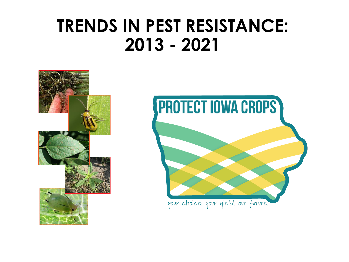# **TRENDS IN PEST RESISTANCE: 2013 - 2021**



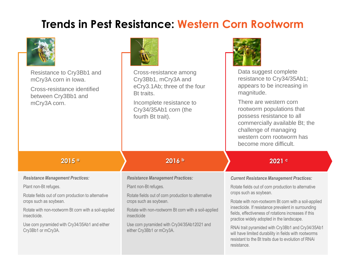## **Trends in Pest Resistance: Western Corn Rootworm**

| Resistance to Cry3Bb1 and<br>mCry3A corn in Iowa.<br>Cross-resistance identified<br>between Cry3Bb1 and<br>mCry3A corn. | Cross-resistance among<br>Cry3Bb1, mCry3A and<br>eCry3.1Ab; three of the four<br>Bt traits.<br>Incomplete resistance to<br>Cry34/35Ab1 corn (the<br>fourth Bt trait). | Data suggest complete<br>resistance to Cry34/35Ab1;<br>appears to be increasing in<br>magnitude.<br>There are western corn<br>rootworm populations that<br>possess resistance to all<br>commercially available Bt; the<br>challenge of managing<br>western corn rootworm has<br>become more difficult. |  |
|-------------------------------------------------------------------------------------------------------------------------|-----------------------------------------------------------------------------------------------------------------------------------------------------------------------|--------------------------------------------------------------------------------------------------------------------------------------------------------------------------------------------------------------------------------------------------------------------------------------------------------|--|
| 2015a                                                                                                                   | 2016b                                                                                                                                                                 | 2021 c                                                                                                                                                                                                                                                                                                 |  |
| <b>Resistance Management Practices:</b>                                                                                 | <b>Resistance Management Practices:</b>                                                                                                                               | <b>Current Resistance Management Practices:</b>                                                                                                                                                                                                                                                        |  |
| Plant non-Bt refuges.                                                                                                   | Plant non-Bt refuges.                                                                                                                                                 | Rotate fields out of corn production to alternative                                                                                                                                                                                                                                                    |  |
| Rotate fields out of corn production to alternative<br>crops such as soybean.                                           | crops such as soybean.<br>Rotate fields out of corn production to alternative<br>crops such as soybean.                                                               |                                                                                                                                                                                                                                                                                                        |  |
| Rotate with non-rootworm Bt corn with a soil-applied<br>insecticide.                                                    | Rotate with non-rootworm Bt corn with a soil-applied<br>insecticide                                                                                                   | Rotate with non-rootworm Bt corn with a soil-applied<br>insecticide. If resistance prevalent in surrounding<br>fields, effectiveness of rotations increases if this<br>practice widely adopted in the landscape.                                                                                       |  |
| Use corn pyramided with Cry34/35Ab1 and either<br>Cry3Bb1 or mCry3A.                                                    | Use corn pyramided with Cry34/35Ab12021 and<br>either Cry3Bb1 or mCry3A.                                                                                              | RNAi trait pyramided with Cry3Bb1 and Cry34/35Ab1<br>will have limited durability in fields with rootworms<br>resistant to the Bt traits due to evolution of RNAi                                                                                                                                      |  |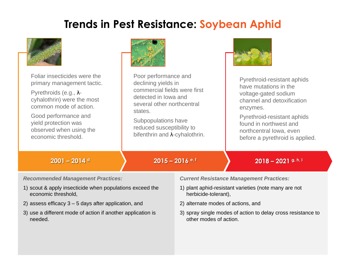## **Trends in Pest Resistance: Soybean Aphid**



| Foliar insecticides were the                                                                                                                                                                                                                                                                                                               | Poor performance and                   |                                                                                                                                                                                                                                       | Pyrethroid-resistant aphids     |
|--------------------------------------------------------------------------------------------------------------------------------------------------------------------------------------------------------------------------------------------------------------------------------------------------------------------------------------------|----------------------------------------|---------------------------------------------------------------------------------------------------------------------------------------------------------------------------------------------------------------------------------------|---------------------------------|
| primary management tactic.                                                                                                                                                                                                                                                                                                                 | declining yields in                    |                                                                                                                                                                                                                                       | have mutations in the           |
| Pyrethroids (e.g., $\lambda$ -                                                                                                                                                                                                                                                                                                             | commercial fields were first           |                                                                                                                                                                                                                                       | voltage-gated sodium            |
| cyhalothrin) were the most                                                                                                                                                                                                                                                                                                                 | detected in lowa and                   |                                                                                                                                                                                                                                       | channel and detoxification      |
| common mode of action.                                                                                                                                                                                                                                                                                                                     | several other northcentral             |                                                                                                                                                                                                                                       | enzymes.                        |
| Good performance and                                                                                                                                                                                                                                                                                                                       | states.                                |                                                                                                                                                                                                                                       | Pyrethroid-resistant aphids     |
| yield protection was                                                                                                                                                                                                                                                                                                                       | Subpopulations have                    |                                                                                                                                                                                                                                       | found in northwest and          |
| observed when using the                                                                                                                                                                                                                                                                                                                    | reduced susceptibility to              |                                                                                                                                                                                                                                       | northcentral lowa, even         |
| economic threshold.                                                                                                                                                                                                                                                                                                                        | bifenthrin and $\lambda$ -cyhalothrin. |                                                                                                                                                                                                                                       | before a pyrethroid is applied. |
| $2001 - 2014$ d                                                                                                                                                                                                                                                                                                                            | $2015 - 2016$ e, f                     |                                                                                                                                                                                                                                       | $2018 - 2021$ g, h, i           |
| <b>Recommended Management Practices:</b>                                                                                                                                                                                                                                                                                                   |                                        | <b>Current Resistance Management Practices:</b>                                                                                                                                                                                       |                                 |
| $\mathbf{A} \mathbf{A}$ and $\mathbf{A} \mathbf{A}$ and $\mathbf{A} \mathbf{A}$ and $\mathbf{A} \mathbf{A}$ and $\mathbf{A} \mathbf{A}$ and $\mathbf{A} \mathbf{A}$ and $\mathbf{A} \mathbf{A}$ and $\mathbf{A} \mathbf{A}$ and $\mathbf{A} \mathbf{A}$ and $\mathbf{A} \mathbf{A}$ and $\mathbf{A} \mathbf{A}$ and $\mathbf{A} \mathbf{A$ |                                        | $\mathbf{A}$ and $\mathbf{A}$ are the contract of the contract of the contract of the contract of the contract of the contract of the contract of the contract of the contract of the contract of the contract of the contract of the |                                 |

- 1) scout & apply insecticide when populations exceed the economic threshold,
- 2) assess efficacy 3 5 days after application, and
- 3) use a different mode of action if another application is needed.
- 1) plant aphid-resistant varieties (note many are not herbicide-tolerant),
- 2) alternate modes of actions, and
- 3) spray single modes of action to delay cross resistance to other modes of action.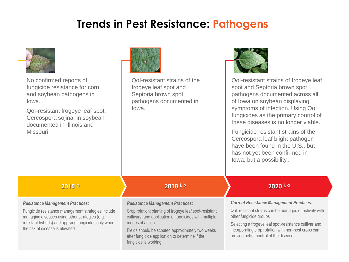## **Trends in Pest Resistance: Pathogens**



No confirmed reports of fungicide resistance for corn and soybean pathogens in Iowa.

QoI-resistant frogeye leaf spot, Cercospora sojina, in soybean documented in Illinois and Missouri.



QoI-resistant strains of the frogeye leaf spot and Septoria brown spot pathogens documented in Iowa.



QoI-resistant strains of frogeye leaf spot and Septoria brown spot pathogens documented across all of Iowa on soybean displaying symptoms of infection. Using QoI fungicides as the primary control of these diseases is no longer viable.

Fungicide resistant strains of the Cercospora leaf blight pathogen have been found in the U.S., but has not yet been confirmed in Iowa, but a possibility.. .

### *Resistance Management Practices:*

Fungicide resistance management strategies include managing diseases using other strategies (e.g. resistant hybrids) and applying fungicides only when the risk of disease is elevated.

### **2015 <sup>a</sup> 2018 j, p 2020 j, q**

### *Resistance Management Practices:*

Crop rotation; planting of frogeye leaf spot-resistant cultivars; and application of fungicides with multiple modes of action

Fields should be scouted approximately two weeks after fungicide application to determine if the fungicide is working.

### *Current Resistance Management Practices:*

Qol. resistant strains can be managed effectively with other fungicide groups

Selecting a frogeye leaf spot-resistance cultivar and incorporating crop rotation with non-host crops can provide better control of the disease.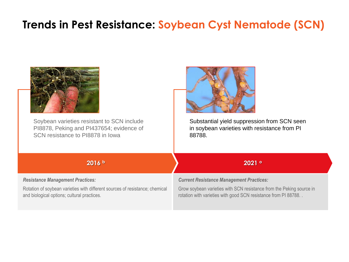## **Trends in Pest Resistance: Soybean Cyst Nematode (SCN)**

| Soybean varieties resistant to SCN include                                   | Substantial yield suppression from SCN seen                          |
|------------------------------------------------------------------------------|----------------------------------------------------------------------|
| PI8878, Peking and PI437654; evidence of                                     | in soybean varieties with resistance from PI                         |
| SCN resistance to PI8878 in Iowa                                             | 88788.                                                               |
| 2016 b                                                                       | 2021°                                                                |
| <b>Resistance Management Practices:</b>                                      | <b>Current Resistance Management Practices:</b>                      |
| Rotation of soybean varieties with different sources of resistance; chemical | Grow soybean varieties with SCN resistance from the Peking source in |
| and biological options; cultural practices.                                  | rotation with varieties with good SCN resistance from PI 88788.      |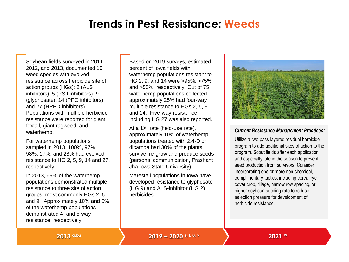### **Trends in Pest Resistance: Weeds**

Soybean fields surveyed in 2011, 2012, and 2013, documented 10 weed species with evolved resistance across herbicide site of action groups (HGs): 2 (ALS inhibitors), 5 (PSII inhibitors), 9 (glyphosate), 14 (PPO inhibitors), and 27 (HPPD inhibitors). Populations with multiple herbicide resistance were reported for giant foxtail, giant ragweed, and waterhemp.

For waterhemp populations sampled in 2013, 100%, 97%, 98%, 17%, and 28% had evolved resistance to HG 2, 5, 9, 14 and 27, respectively.

In 2013, 69% of the waterhemp populations demonstrated multiple resistance to three site of action groups, most commonly HGs 2, 5 and 9. Approximately 10% and 5% of the waterhemp populations demonstrated 4- and 5-way resistance, respectively.

Based on 2019 surveys, estimated percent of Iowa fields with waterhemp populations resistant to HG 2, 9, and 14 were >95%, >75% and >50%, respectively. Out of 75 waterhemp populations collected, approximately 25% had four-way multiple resistance to HGs 2, 5, 9 and 14. Five-way resistance including HG 27 was also reported.

At a 1X rate (field-use rate), approximately 10% of waterhemp populations treated with 2,4-D or dicamba had 30% of the plants survive, re-grow and produce seeds (personal communication, Prashant Jha Iowa State University).

Marestail populations in Iowa have developed resistance to glyphosate (HG 9) and ALS-inhibitor (HG 2) herbicides.



### *Current Resistance Management Practices:*

Utilize a two-pass layered residual herbicide program to add additional sites of action to the program. Scout fields after each application and especially late in the season to prevent seed production from survivors. Consider incorporating one or more non-chemical, complimentary tactics, including cereal rye cover crop, tillage, narrow row spacing, or higher soybean seeding rate to reduce selection pressure for development of herbicide resistance.

**2013 a,b,r 2019 – 2020 s, t, u, v 2021 <sup>w</sup>**